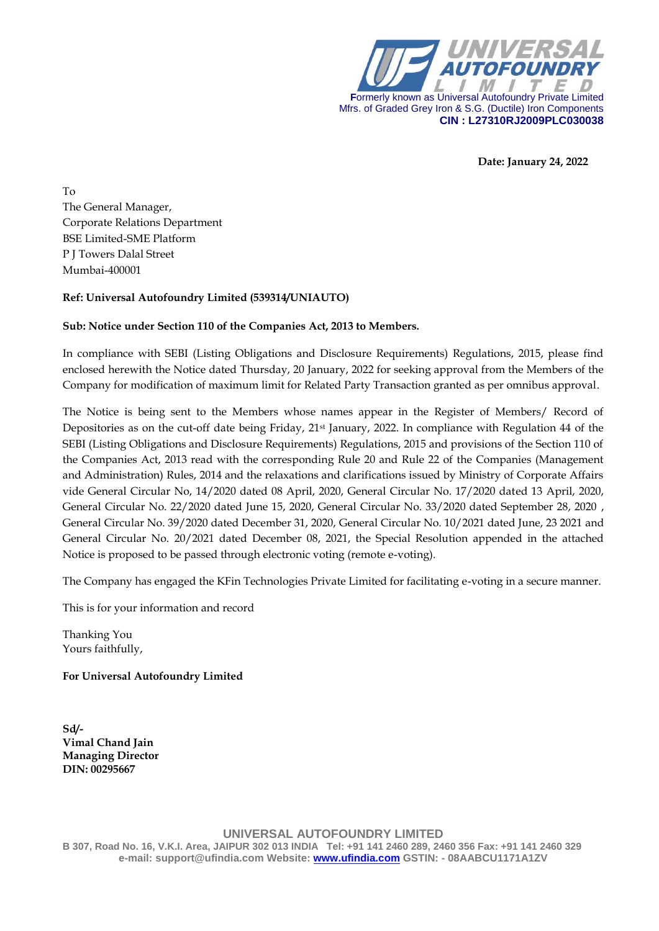

 **Date: January 24, 2022**

To The General Manager, Corporate Relations Department BSE Limited-SME Platform P J Towers Dalal Street Mumbai-400001

#### **Ref: Universal Autofoundry Limited (539314/UNIAUTO)**

#### **Sub: Notice under Section 110 of the Companies Act, 2013 to Members.**

In compliance with SEBI (Listing Obligations and Disclosure Requirements) Regulations, 2015, please find enclosed herewith the Notice dated Thursday, 20 January, 2022 for seeking approval from the Members of the Company for modification of maximum limit for Related Party Transaction granted as per omnibus approval.

The Notice is being sent to the Members whose names appear in the Register of Members/ Record of Depositories as on the cut-off date being Friday, 21st January, 2022. In compliance with Regulation 44 of the SEBI (Listing Obligations and Disclosure Requirements) Regulations, 2015 and provisions of the Section 110 of the Companies Act, 2013 read with the corresponding Rule 20 and Rule 22 of the Companies (Management and Administration) Rules, 2014 and the relaxations and clarifications issued by Ministry of Corporate Affairs vide General Circular No, 14/2020 dated 08 April, 2020, General Circular No. 17/2020 dated 13 April, 2020, General Circular No. 22/2020 dated June 15, 2020, General Circular No. 33/2020 dated September 28, 2020 , General Circular No. 39/2020 dated December 31, 2020, General Circular No. 10/2021 dated June, 23 2021 and General Circular No. 20/2021 dated December 08, 2021, the Special Resolution appended in the attached Notice is proposed to be passed through electronic voting (remote e-voting).

The Company has engaged the KFin Technologies Private Limited for facilitating e-voting in a secure manner.

This is for your information and record

Thanking You Yours faithfully,

**For Universal Autofoundry Limited**

**Sd/- Vimal Chand Jain Managing Director DIN: 00295667**

**UNIVERSAL AUTOFOUNDRY LIMITED B 307, Road No. 16, V.K.I. Area, JAIPUR 302 013 INDIA Tel: +91 141 2460 289, 2460 356 Fax: +91 141 2460 329**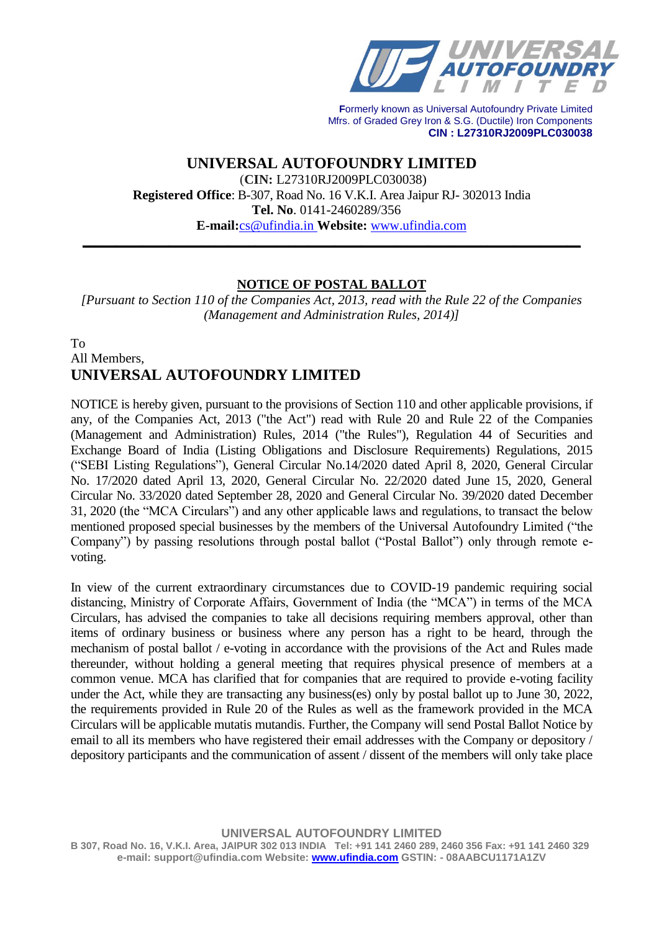

**UNIVERSAL AUTOFOUNDRY LIMITED** (**CIN:** L27310RJ2009PLC030038) **Registered Office**: B-307, Road No. 16 V.K.I. Area Jaipur RJ- 302013 India **Tel. No**. 0141-2460289/356 **E-mail:**cs@ufindia.in **Website:** [www.ufindia.com](http://www.ufindia.com/)

# **NOTICE OF POSTAL BALLOT**

**\_\_\_\_\_\_\_\_\_\_\_\_\_\_\_\_\_\_\_\_\_\_\_\_\_\_\_\_\_\_\_\_\_\_\_\_\_\_\_\_\_\_\_\_\_\_\_\_\_\_\_\_\_\_\_\_\_\_\_\_\_\_\_\_\_\_\_\_\_\_\_\_\_\_\_**

*[Pursuant to Section 110 of the Companies Act, 2013, read with the Rule 22 of the Companies (Management and Administration Rules, 2014)]*

# To All Members, **UNIVERSAL AUTOFOUNDRY LIMITED**

NOTICE is hereby given, pursuant to the provisions of Section 110 and other applicable provisions, if any, of the Companies Act, 2013 ("the Act") read with Rule 20 and Rule 22 of the Companies (Management and Administration) Rules, 2014 ("the Rules"), Regulation 44 of Securities and Exchange Board of India (Listing Obligations and Disclosure Requirements) Regulations, 2015 ("SEBI Listing Regulations"), General Circular No.14/2020 dated April 8, 2020, General Circular No. 17/2020 dated April 13, 2020, General Circular No. 22/2020 dated June 15, 2020, General Circular No. 33/2020 dated September 28, 2020 and General Circular No. 39/2020 dated December 31, 2020 (the "MCA Circulars") and any other applicable laws and regulations, to transact the below mentioned proposed special businesses by the members of the Universal Autofoundry Limited ("the Company") by passing resolutions through postal ballot ("Postal Ballot") only through remote evoting.

In view of the current extraordinary circumstances due to COVID-19 pandemic requiring social distancing, Ministry of Corporate Affairs, Government of India (the "MCA") in terms of the MCA Circulars, has advised the companies to take all decisions requiring members approval, other than items of ordinary business or business where any person has a right to be heard, through the mechanism of postal ballot / e-voting in accordance with the provisions of the Act and Rules made thereunder, without holding a general meeting that requires physical presence of members at a common venue. MCA has clarified that for companies that are required to provide e-voting facility under the Act, while they are transacting any business(es) only by postal ballot up to June 30, 2022, the requirements provided in Rule 20 of the Rules as well as the framework provided in the MCA Circulars will be applicable mutatis mutandis. Further, the Company will send Postal Ballot Notice by email to all its members who have registered their email addresses with the Company or depository / depository participants and the communication of assent / dissent of the members will only take place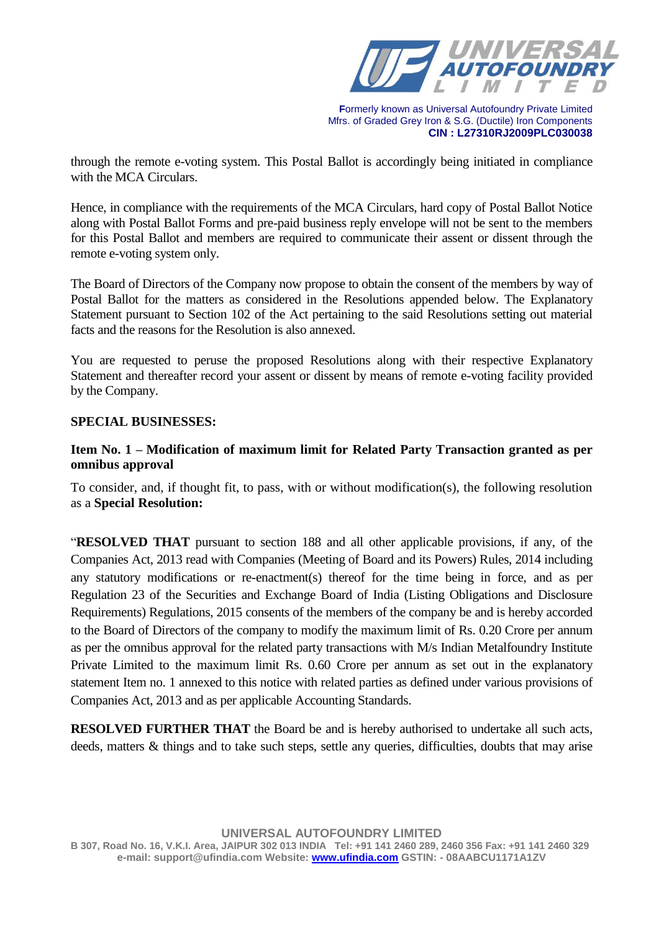

through the remote e-voting system. This Postal Ballot is accordingly being initiated in compliance with the MCA Circulars.

Hence, in compliance with the requirements of the MCA Circulars, hard copy of Postal Ballot Notice along with Postal Ballot Forms and pre-paid business reply envelope will not be sent to the members for this Postal Ballot and members are required to communicate their assent or dissent through the remote e-voting system only.

The Board of Directors of the Company now propose to obtain the consent of the members by way of Postal Ballot for the matters as considered in the Resolutions appended below. The Explanatory Statement pursuant to Section 102 of the Act pertaining to the said Resolutions setting out material facts and the reasons for the Resolution is also annexed.

You are requested to peruse the proposed Resolutions along with their respective Explanatory Statement and thereafter record your assent or dissent by means of remote e-voting facility provided by the Company.

### **SPECIAL BUSINESSES:**

# **Item No. 1 – Modification of maximum limit for Related Party Transaction granted as per omnibus approval**

To consider, and, if thought fit, to pass, with or without modification(s), the following resolution as a **Special Resolution:**

"**RESOLVED THAT** pursuant to section 188 and all other applicable provisions, if any, of the Companies Act, 2013 read with Companies (Meeting of Board and its Powers) Rules, 2014 including any statutory modifications or re-enactment(s) thereof for the time being in force, and as per Regulation 23 of the Securities and Exchange Board of India (Listing Obligations and Disclosure Requirements) Regulations, 2015 consents of the members of the company be and is hereby accorded to the Board of Directors of the company to modify the maximum limit of Rs. 0.20 Crore per annum as per the omnibus approval for the related party transactions with M/s Indian Metalfoundry Institute Private Limited to the maximum limit Rs. 0.60 Crore per annum as set out in the explanatory statement Item no. 1 annexed to this notice with related parties as defined under various provisions of Companies Act, 2013 and as per applicable Accounting Standards.

**RESOLVED FURTHER THAT** the Board be and is hereby authorised to undertake all such acts, deeds, matters & things and to take such steps, settle any queries, difficulties, doubts that may arise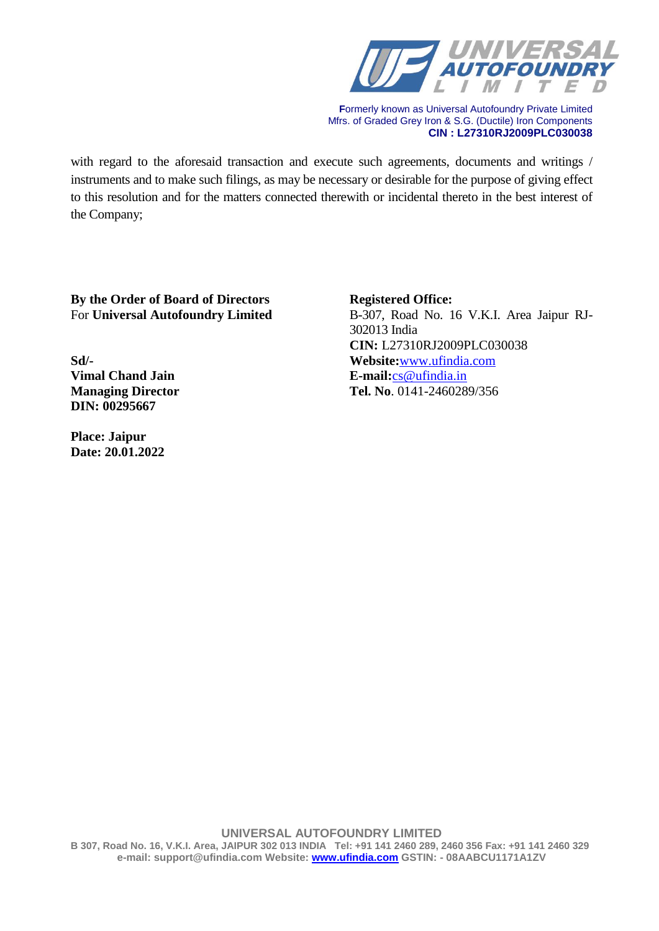

with regard to the aforesaid transaction and execute such agreements, documents and writings / instruments and to make such filings, as may be necessary or desirable for the purpose of giving effect to this resolution and for the matters connected therewith or incidental thereto in the best interest of the Company;

**By the Order of Board of Directors Registered Office:**

**DIN: 00295667**

**Place: Jaipur Date: 20.01.2022**

For **Universal Autofoundry Limited** B-307, Road No. 16 V.K.I. Area Jaipur RJ-302013 India **CIN:** L27310RJ2009PLC030038 **Sd/- Website:**[www.ufindia.com](http://www.ufindia.com/) **Vimal Chand Jain E-mail:**[cs@ufindia.in](mailto:cs@ufindia.in) **Managing Director Tel. No**. 0141-2460289/356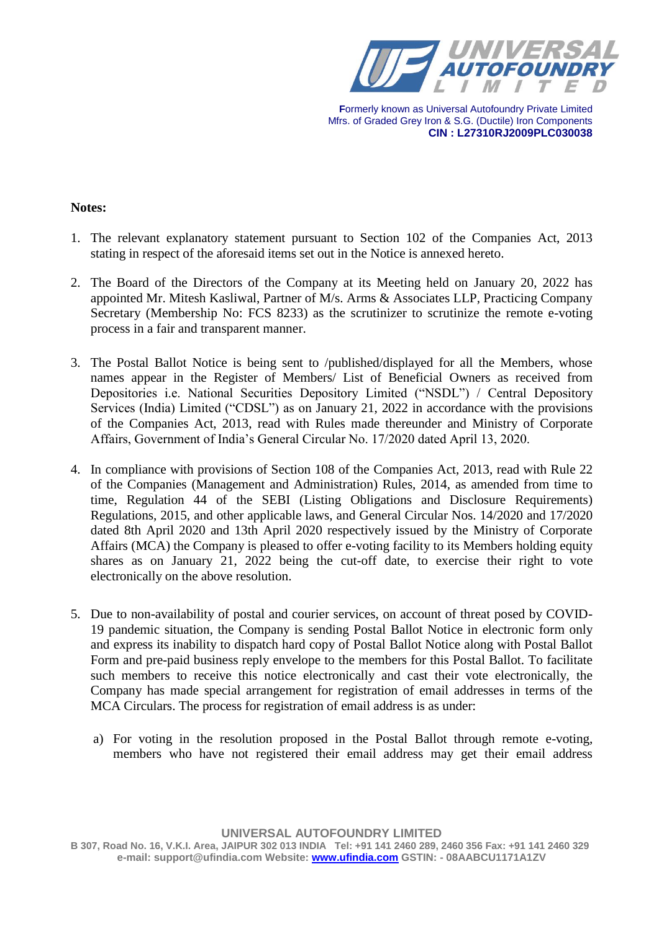

#### **Notes:**

- 1. The relevant explanatory statement pursuant to Section 102 of the Companies Act, 2013 stating in respect of the aforesaid items set out in the Notice is annexed hereto.
- 2. The Board of the Directors of the Company at its Meeting held on January 20, 2022 has appointed Mr. Mitesh Kasliwal, Partner of M/s. Arms & Associates LLP, Practicing Company Secretary (Membership No: FCS 8233) as the scrutinizer to scrutinize the remote e-voting process in a fair and transparent manner.
- 3. The Postal Ballot Notice is being sent to /published/displayed for all the Members, whose names appear in the Register of Members/ List of Beneficial Owners as received from Depositories i.e. National Securities Depository Limited ("NSDL") / Central Depository Services (India) Limited ("CDSL") as on January 21, 2022 in accordance with the provisions of the Companies Act, 2013, read with Rules made thereunder and Ministry of Corporate Affairs, Government of India's General Circular No. 17/2020 dated April 13, 2020.
- 4. In compliance with provisions of Section 108 of the Companies Act, 2013, read with Rule 22 of the Companies (Management and Administration) Rules, 2014, as amended from time to time, Regulation 44 of the SEBI (Listing Obligations and Disclosure Requirements) Regulations, 2015, and other applicable laws, and General Circular Nos. 14/2020 and 17/2020 dated 8th April 2020 and 13th April 2020 respectively issued by the Ministry of Corporate Affairs (MCA) the Company is pleased to offer e-voting facility to its Members holding equity shares as on January 21, 2022 being the cut-off date, to exercise their right to vote electronically on the above resolution.
- 5. Due to non-availability of postal and courier services, on account of threat posed by COVID-19 pandemic situation, the Company is sending Postal Ballot Notice in electronic form only and express its inability to dispatch hard copy of Postal Ballot Notice along with Postal Ballot Form and pre-paid business reply envelope to the members for this Postal Ballot. To facilitate such members to receive this notice electronically and cast their vote electronically, the Company has made special arrangement for registration of email addresses in terms of the MCA Circulars. The process for registration of email address is as under:
	- a) For voting in the resolution proposed in the Postal Ballot through remote e-voting, members who have not registered their email address may get their email address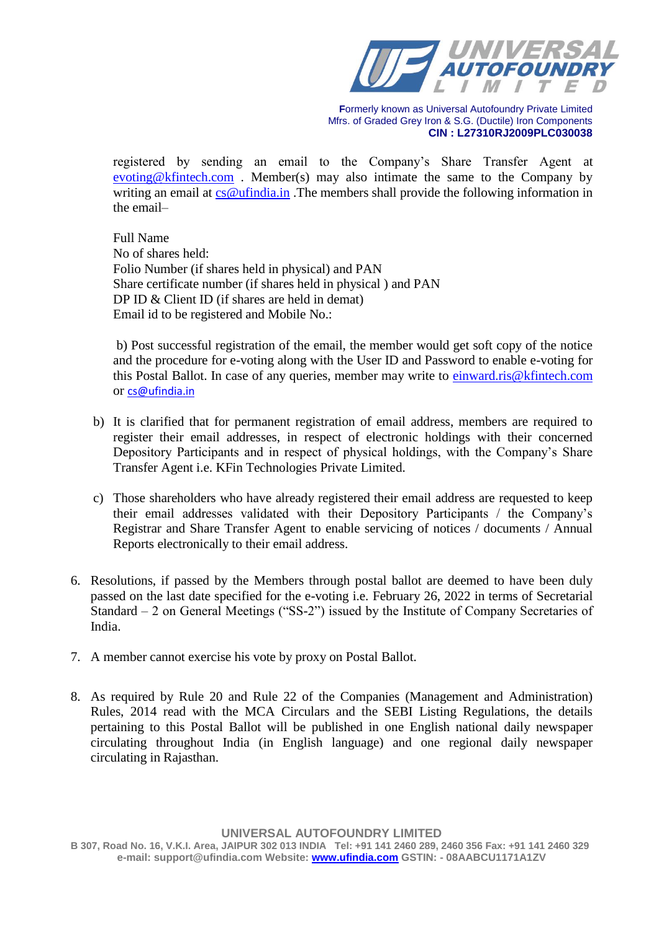

registered by sending an email to the Company's Share Transfer Agent at [evoting@kfintech.com](mailto:evoting@kfintech.com) . Member(s) may also intimate the same to the Company by writing an email at  $cs@$ ufindia.in. The members shall provide the following information in the email–

Full Name No of shares held: Folio Number (if shares held in physical) and PAN Share certificate number (if shares held in physical ) and PAN DP ID & Client ID (if shares are held in demat) Email id to be registered and Mobile No.:

b) Post successful registration of the email, the member would get soft copy of the notice and the procedure for e-voting along with the User ID and Password to enable e-voting for this Postal Ballot. In case of any queries, member may write to [einward.ris@kfintech.com](einward.ris@kfintech.com%20) or cs@ufindia.in

- b) It is clarified that for permanent registration of email address, members are required to register their email addresses, in respect of electronic holdings with their concerned Depository Participants and in respect of physical holdings, with the Company's Share Transfer Agent i.e. KFin Technologies Private Limited.
- c) Those shareholders who have already registered their email address are requested to keep their email addresses validated with their Depository Participants / the Company's Registrar and Share Transfer Agent to enable servicing of notices / documents / Annual Reports electronically to their email address.
- 6. Resolutions, if passed by the Members through postal ballot are deemed to have been duly passed on the last date specified for the e-voting i.e. February 26, 2022 in terms of Secretarial Standard – 2 on General Meetings ("SS-2") issued by the Institute of Company Secretaries of India.
- 7. A member cannot exercise his vote by proxy on Postal Ballot.
- 8. As required by Rule 20 and Rule 22 of the Companies (Management and Administration) Rules, 2014 read with the MCA Circulars and the SEBI Listing Regulations, the details pertaining to this Postal Ballot will be published in one English national daily newspaper circulating throughout India (in English language) and one regional daily newspaper circulating in Rajasthan.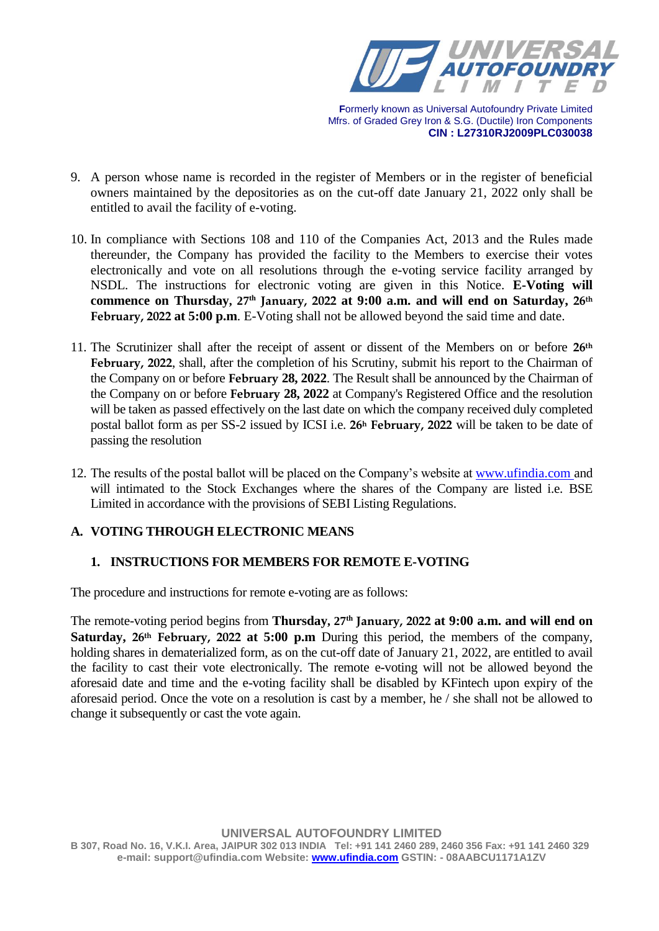

- 9. A person whose name is recorded in the register of Members or in the register of beneficial owners maintained by the depositories as on the cut-off date January 21, 2022 only shall be entitled to avail the facility of e-voting.
- 10. In compliance with Sections 108 and 110 of the Companies Act, 2013 and the Rules made thereunder, the Company has provided the facility to the Members to exercise their votes electronically and vote on all resolutions through the e-voting service facility arranged by NSDL. The instructions for electronic voting are given in this Notice. **E-Voting will commence on Thursday, 27 th January, 2022 at 9:00 a.m. and will end on Saturday, 26th February, 2022 at 5:00 p.m**. E-Voting shall not be allowed beyond the said time and date.
- 11. The Scrutinizer shall after the receipt of assent or dissent of the Members on or before **26th February, 2022**, shall, after the completion of his Scrutiny, submit his report to the Chairman of the Company on or before **February 28, 2022**. The Result shall be announced by the Chairman of the Company on or before **February 28, 2022** at Company's Registered Office and the resolution will be taken as passed effectively on the last date on which the company received duly completed postal ballot form as per SS-2 issued by ICSI i.e. **26<sup>h</sup> February, 2022** will be taken to be date of passing the resolution
- 12. The results of the postal ballot will be placed on the Company's website at [www.ufindia.com](http://www.ufindia.com/) and will intimated to the Stock Exchanges where the shares of the Company are listed i.e. BSE Limited in accordance with the provisions of SEBI Listing Regulations.

# **A. VOTING THROUGH ELECTRONIC MEANS**

# **1. INSTRUCTIONS FOR MEMBERS FOR REMOTE E-VOTING**

The procedure and instructions for remote e-voting are as follows:

The remote-voting period begins from **Thursday**, 27<sup>th</sup> January, 2022 at 9:00 a.m. and will end on **Saturday, 26th February, 2022 at 5:00 p.m** During this period, the members of the company, holding shares in dematerialized form, as on the cut-off date of January 21, 2022, are entitled to avail the facility to cast their vote electronically. The remote e-voting will not be allowed beyond the aforesaid date and time and the e-voting facility shall be disabled by KFintech upon expiry of the aforesaid period. Once the vote on a resolution is cast by a member, he / she shall not be allowed to change it subsequently or cast the vote again.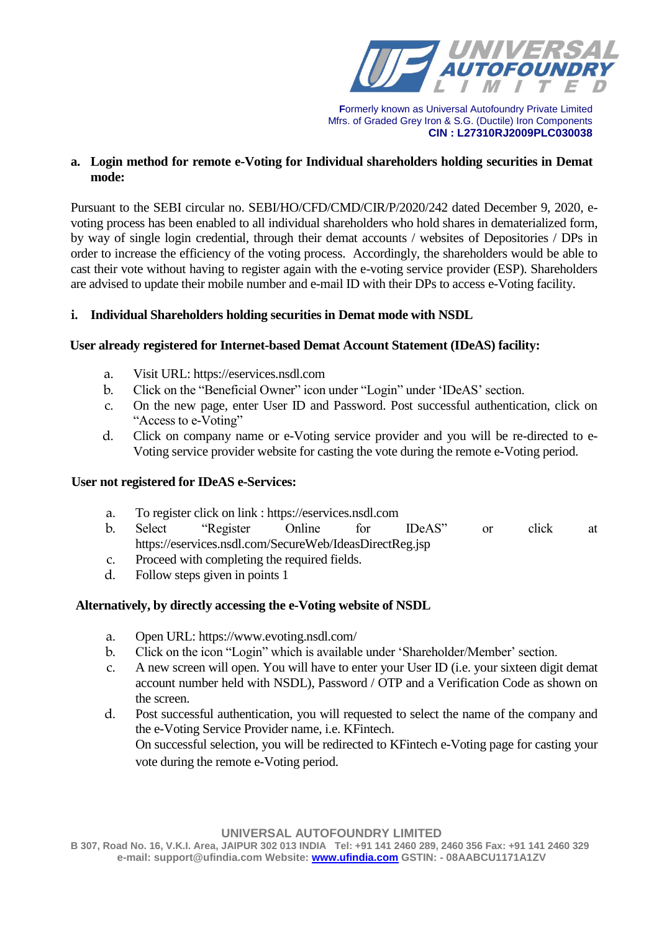

## **a. Login method for remote e-Voting for Individual shareholders holding securities in Demat mode:**

Pursuant to the SEBI circular no. SEBI/HO/CFD/CMD/CIR/P/2020/242 dated December 9, 2020, evoting process has been enabled to all individual shareholders who hold shares in dematerialized form, by way of single login credential, through their demat accounts / websites of Depositories / DPs in order to increase the efficiency of the voting process. Accordingly, the shareholders would be able to cast their vote without having to register again with the e-voting service provider (ESP). Shareholders are advised to update their mobile number and e-mail ID with their DPs to access e-Voting facility.

## **i. Individual Shareholders holding securities in Demat mode with NSDL**

## **User already registered for Internet-based Demat Account Statement (IDeAS) facility:**

- a. Visit URL: [https://eservices.nsdl.com](https://eservices.nsdl.com/)
- b. Click on the "Beneficial Owner" icon under "Login" under 'IDeAS' section.
- c. On the new page, enter User ID and Password. Post successful authentication, click on "Access to e-Voting"
- d. Click on company name or e-Voting service provider and you will be re-directed to e-Voting service provider website for casting the vote during the remote e-Voting period.

# **User not registered for IDeAS e-Services:**

- a. To register click on link : [https://eservices.nsdl.com](https://eservices.nsdl.com/)
- b. Select "Register Online for IDeAS" or click at <https://eservices.nsdl.com/SecureWeb/IdeasDirectReg.jsp>
- c. Proceed with completing the required fields.
- d. Follow steps given in points 1

### **Alternatively, by directly accessing the e-Voting website of NSDL**

- a. Open URL:<https://www.evoting.nsdl.com/>
- b. Click on the icon "Login" which is available under 'Shareholder/Member' section.
- c. A new screen will open. You will have to enter your User ID (i.e. your sixteen digit demat account number held with NSDL), Password / OTP and a Verification Code as shown on the screen.
- d. Post successful authentication, you will requested to select the name of the company and the e-Voting Service Provider name, i.e. KFintech. On successful selection, you will be redirected to KFintech e-Voting page for casting your vote during the remote e-Voting period.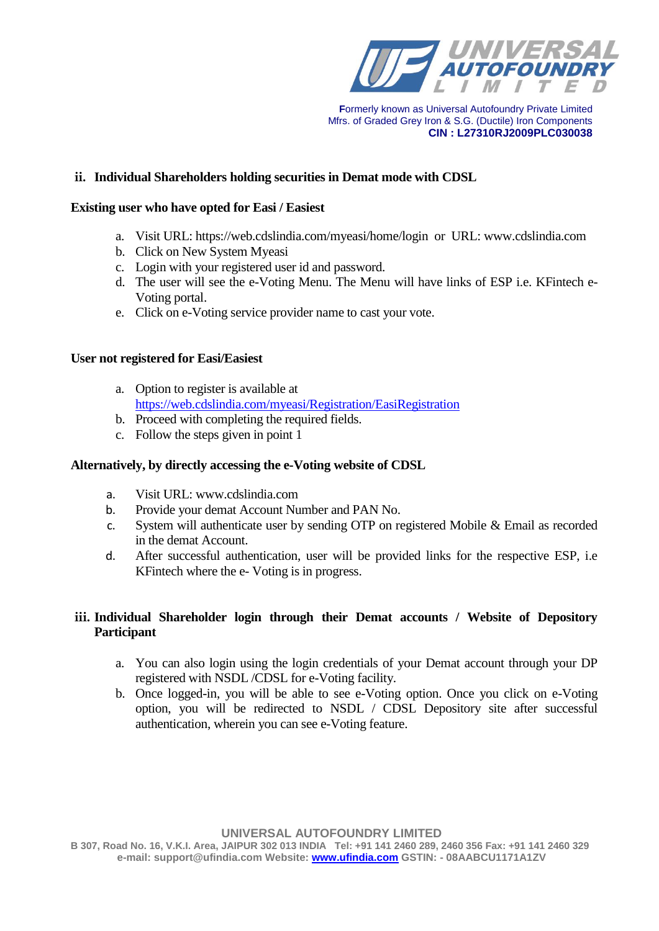

# **ii. Individual Shareholders holding securities in Demat mode with CDSL**

#### **Existing user who have opted for Easi / Easiest**

- a. Visit URL:<https://web.cdslindia.com/myeasi/home/login>or URL: [www.cdslindia.com](http://www.cdslindia.com/)
- b. Click on New System Myeasi
- c. Login with your registered user id and password.
- d. The user will see the e-Voting Menu. The Menu will have links of ESP i.e. KFintech e-Voting portal.
- e. Click on e-Voting service provider name to cast your vote.

### **User not registered for Easi/Easiest**

- a. Option to register is available at <https://web.cdslindia.com/myeasi/Registration/EasiRegistration>
- b. Proceed with completing the required fields.
- c. Follow the steps given in point 1

### **Alternatively, by directly accessing the e-Voting website of CDSL**

- a. Visit URL: [www.cdslindia.com](http://www.cdslindia.com/)
- b. Provide your demat Account Number and PAN No.
- c. System will authenticate user by sending OTP on registered Mobile & Email as recorded in the demat Account.
- d. After successful authentication, user will be provided links for the respective ESP, i.e KFintech where the e- Voting is in progress.

## **iii. Individual Shareholder login through their Demat accounts / Website of Depository Participant**

- a. You can also login using the login credentials of your Demat account through your DP registered with NSDL /CDSL for e-Voting facility.
- b. Once logged-in, you will be able to see e-Voting option. Once you click on e-Voting option, you will be redirected to NSDL / CDSL Depository site after successful authentication, wherein you can see e-Voting feature.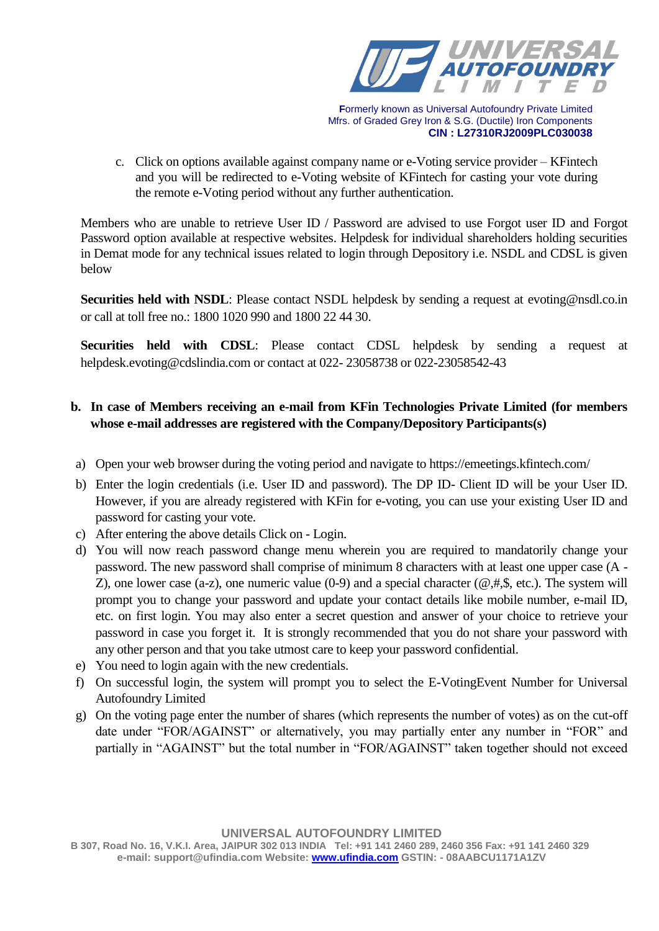

c. Click on options available against company name or e-Voting service provider – KFintech and you will be redirected to e-Voting website of KFintech for casting your vote during the remote e-Voting period without any further authentication.

Members who are unable to retrieve User ID / Password are advised to use Forgot user ID and Forgot Password option available at respective websites. Helpdesk for individual shareholders holding securities in Demat mode for any technical issues related to login through Depository i.e. NSDL and CDSL is given below

**Securities held with NSDL**: Please contact NSDL helpdesk by sending a request at evoting@nsdl.co.in or call at toll free no.: 1800 1020 990 and 1800 22 44 30.

**Securities held with CDSL**: Please contact CDSL helpdesk by sending a request at [helpdesk.evoting@cdslindia.com](mailto:helpdesk.evoting@cdslindia.com) or contact at 022- 23058738 or 022-23058542-43

# **b. In case of Members receiving an e-mail from KFin Technologies Private Limited (for members whose e-mail addresses are registered with the Company/Depository Participants(s)**

- a) Open your web browser during the voting period and navigate to<https://emeetings.kfintech.com/>
- b) Enter the login credentials (i.e. User ID and password). The DP ID- Client ID will be your User ID. However, if you are already registered with KFin for e-voting, you can use your existing User ID and password for casting your vote.
- c) After entering the above details Click on Login.
- d) You will now reach password change menu wherein you are required to mandatorily change your password. The new password shall comprise of minimum 8 characters with at least one upper case (A - Z), one lower case (a-z), one numeric value (0-9) and a special character ( $@, \#$ , $\$$ , etc.). The system will prompt you to change your password and update your contact details like mobile number, e-mail ID, etc. on first login. You may also enter a secret question and answer of your choice to retrieve your password in case you forget it. It is strongly recommended that you do not share your password with any other person and that you take utmost care to keep your password confidential.
- e) You need to login again with the new credentials.
- f) On successful login, the system will prompt you to select the E-VotingEvent Number for Universal Autofoundry Limited
- g) On the voting page enter the number of shares (which represents the number of votes) as on the cut-off date under "FOR/AGAINST" or alternatively, you may partially enter any number in "FOR" and partially in "AGAINST" but the total number in "FOR/AGAINST" taken together should not exceed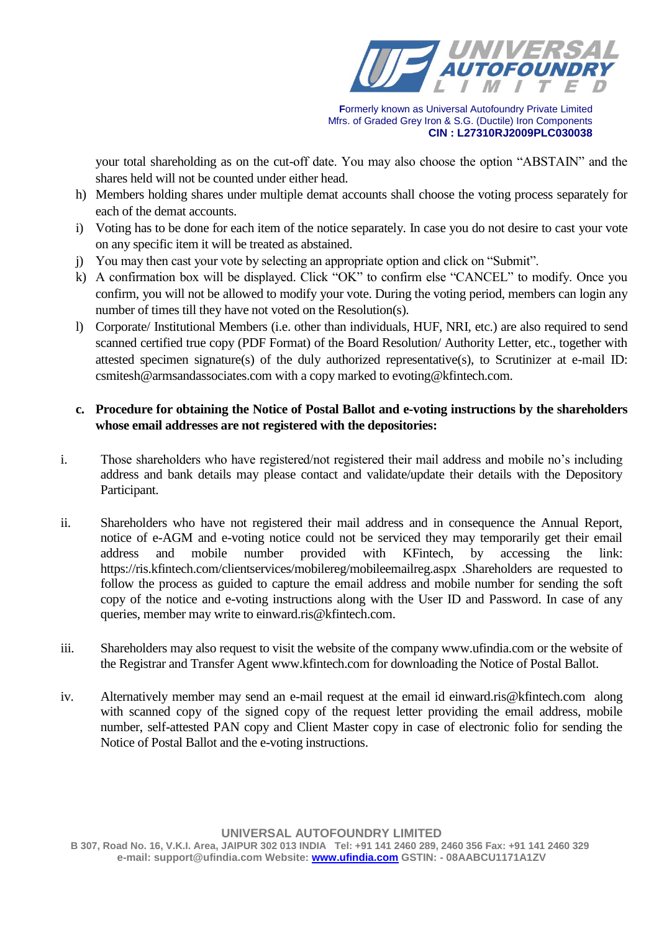

your total shareholding as on the cut-off date. You may also choose the option "ABSTAIN" and the shares held will not be counted under either head.

- h) Members holding shares under multiple demat accounts shall choose the voting process separately for each of the demat accounts.
- i) Voting has to be done for each item of the notice separately. In case you do not desire to cast your vote on any specific item it will be treated as abstained.
- j) You may then cast your vote by selecting an appropriate option and click on "Submit".
- k) A confirmation box will be displayed. Click "OK" to confirm else "CANCEL" to modify. Once you confirm, you will not be allowed to modify your vote. During the voting period, members can login any number of times till they have not voted on the Resolution(s).
- l) Corporate/ Institutional Members (i.e. other than individuals, HUF, NRI, etc.) are also required to send scanned certified true copy (PDF Format) of the Board Resolution/ Authority Letter, etc., together with attested specimen signature(s) of the duly authorized representative(s), to Scrutinizer at e-mail ID: [csmitesh@armsandassociates.com](mailto:csmitesh@armsandassociates.com) with a copy marked to [evoting@kfintech.com.](mailto:evoting@kfintech.com)

# **c. Procedure for obtaining the Notice of Postal Ballot and e-voting instructions by the shareholders whose email addresses are not registered with the depositories:**

- i. Those shareholders who have registered/not registered their mail address and mobile no's including address and bank details may please contact and validate/update their details with the Depository Participant.
- ii. Shareholders who have not registered their mail address and in consequence the Annual Report, notice of e-AGM and e-voting notice could not be serviced they may temporarily get their email address and mobile number provided with KFintech, by accessing the link: <https://ris.kfintech.com/clientservices/mobilereg/mobileemailreg.aspx> .Shareholders are requested to follow the process as guided to capture the email address and mobile number for sending the soft copy of the notice and e-voting instructions along with the User ID and Password. In case of any queries, member may write t[o einward.ris@kfintech.com.](mailto:einward.ris@kfintech.com)
- iii. Shareholders may also request to visit the website of the company www.ufindia.com or the website of the Registrar and Transfer Agent [www.kfintech.com](http://www.kfintech.com/) for downloading the Notice of Postal Ballot.
- iv. Alternatively member may send an e-mail request at the email id [einward.ris@kfintech.com](mailto:einward.ris@kfintech.com) along with scanned copy of the signed copy of the request letter providing the email address, mobile number, self-attested PAN copy and Client Master copy in case of electronic folio for sending the Notice of Postal Ballot and the e-voting instructions.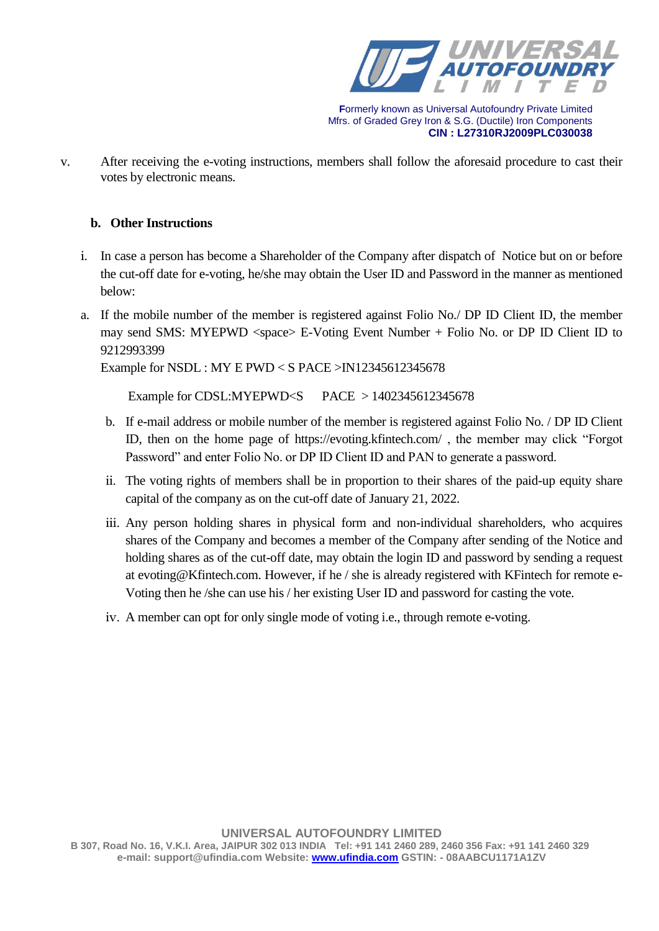

v. After receiving the e-voting instructions, members shall follow the aforesaid procedure to cast their votes by electronic means.

## **b. Other Instructions**

- i. In case a person has become a Shareholder of the Company after dispatch of Notice but on or before the cut-off date for e-voting, he/she may obtain the User ID and Password in the manner as mentioned below:
- a. If the mobile number of the member is registered against Folio No./ DP ID Client ID, the member may send SMS: MYEPWD <space> E-Voting Event Number + Folio No. or DP ID Client ID to 9212993399

Example for NSDL : MY E PWD < S PACE >IN12345612345678

Example for CDSL:MYEPWD<S PACE > 1402345612345678

- b. If e-mail address or mobile number of the member is registered against Folio No. / DP ID Client ID, then on the home page of<https://evoting.kfintech.com/> , the member may click "Forgot Password" and enter Folio No. or DP ID Client ID and PAN to generate a password.
- ii. The voting rights of members shall be in proportion to their shares of the paid-up equity share capital of the company as on the cut-off date of January 21, 2022.
- iii. Any person holding shares in physical form and non-individual shareholders, who acquires shares of the Company and becomes a member of the Company after sending of the Notice and holding shares as of the cut-off date, may obtain the login ID and password by sending a request at [evoting@Kfintech.com.](mailto:evoting@Kfintech.com) However, if he / she is already registered with KFintech for remote e-Voting then he /she can use his / her existing User ID and password for casting the vote.
- iv. A member can opt for only single mode of voting i.e., through remote e-voting.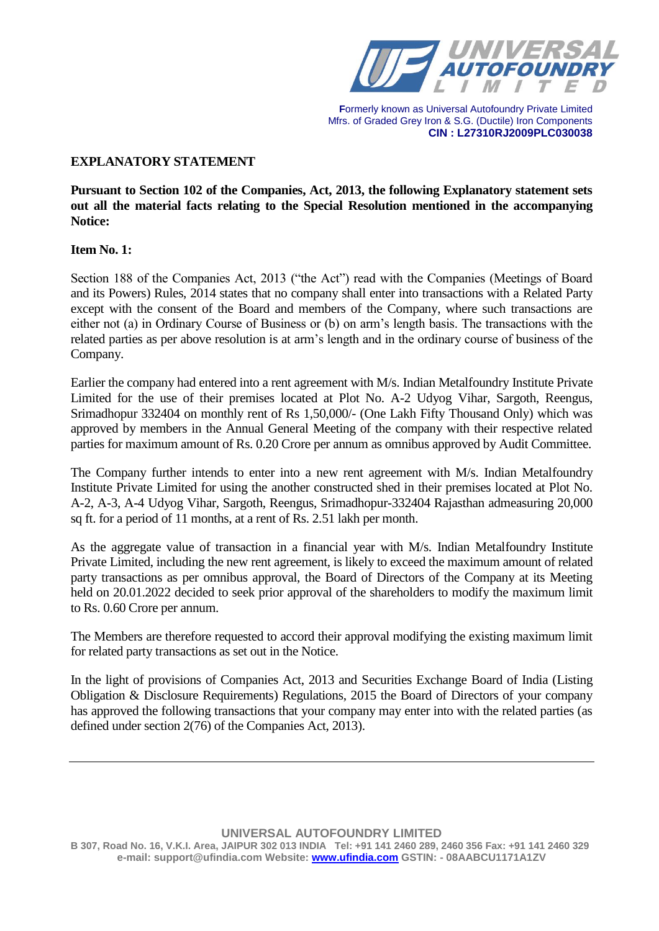

# **EXPLANATORY STATEMENT**

**Pursuant to Section 102 of the Companies, Act, 2013, the following Explanatory statement sets out all the material facts relating to the Special Resolution mentioned in the accompanying Notice:**

#### **Item No. 1:**

Section 188 of the Companies Act, 2013 ("the Act") read with the Companies (Meetings of Board and its Powers) Rules, 2014 states that no company shall enter into transactions with a Related Party except with the consent of the Board and members of the Company, where such transactions are either not (a) in Ordinary Course of Business or (b) on arm's length basis. The transactions with the related parties as per above resolution is at arm's length and in the ordinary course of business of the Company.

Earlier the company had entered into a rent agreement with M/s. Indian Metalfoundry Institute Private Limited for the use of their premises located at Plot No. A-2 Udyog Vihar, Sargoth, Reengus, Srimadhopur 332404 on monthly rent of Rs 1,50,000/- (One Lakh Fifty Thousand Only) which was approved by members in the Annual General Meeting of the company with their respective related parties for maximum amount of Rs. 0.20 Crore per annum as omnibus approved by Audit Committee.

The Company further intends to enter into a new rent agreement with M/s. Indian Metalfoundry Institute Private Limited for using the another constructed shed in their premises located at Plot No. A-2, A-3, A-4 Udyog Vihar, Sargoth, Reengus, Srimadhopur-332404 Rajasthan admeasuring 20,000 sq ft. for a period of 11 months, at a rent of Rs. 2.51 lakh per month.

As the aggregate value of transaction in a financial year with M/s. Indian Metalfoundry Institute Private Limited, including the new rent agreement, is likely to exceed the maximum amount of related party transactions as per omnibus approval, the Board of Directors of the Company at its Meeting held on 20.01.2022 decided to seek prior approval of the shareholders to modify the maximum limit to Rs. 0.60 Crore per annum.

The Members are therefore requested to accord their approval modifying the existing maximum limit for related party transactions as set out in the Notice.

In the light of provisions of Companies Act, 2013 and Securities Exchange Board of India (Listing Obligation & Disclosure Requirements) Regulations, 2015 the Board of Directors of your company has approved the following transactions that your company may enter into with the related parties (as defined under section 2(76) of the Companies Act, 2013).